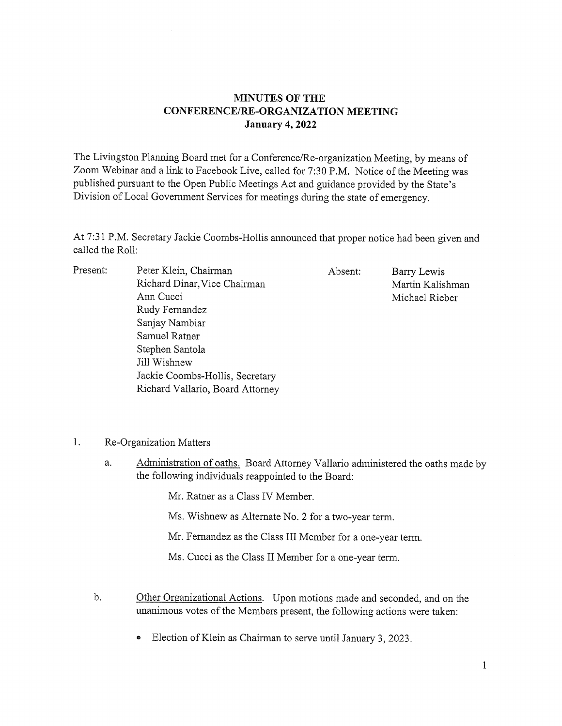## MINUTES OF THE CONFERENCE/RE-ORGANIZATION MEETING January 4, 2022

The Livingston Planning Board met for <sup>a</sup> Conference/Re-organization Meeting, by means of Zoom Webinar and <sup>a</sup> link to Facebook Live, called for 7:30 P.M. Notice of the Meeting was published pursuant to the Open Public Meetings Act and guidance provided by the State's Division of Local Government Services for meetings during the state of emergency.

At 7:31 P.M. Secretary Jackie Coombs-Hollis announced that proper notice had been given and called the Roll:

| Present: | Peter Klein, Chairman            | Absent: | Barry Lewis      |
|----------|----------------------------------|---------|------------------|
|          | Richard Dinar, Vice Chairman     |         | Martin Kalishman |
|          | Ann Cucci                        |         | Michael Rieber   |
|          | Rudy Fernandez                   |         |                  |
|          | Sanjay Nambiar                   |         |                  |
|          | Samuel Ratner                    |         |                  |
|          | Stephen Santola                  |         |                  |
|          | Jill Wishnew                     |         |                  |
|          | Jackie Coombs-Hollis, Secretary  |         |                  |
|          | Richard Vallario, Board Attorney |         |                  |
|          |                                  |         |                  |

1. Re-Organization Matters

a. Administration of oaths. Board Attorney Vallario administered the oaths made by the following individuals reappointed to the Board:

Mr. Rather as <sup>a</sup> Class IV Member.

Ms. Wishnew as Alternate No. 2 for a two-year term.

Mr. Fernandez as the Class III Member for <sup>a</sup> one-year term.

Ms. Cucci as the Class II Member for <sup>a</sup> one-year term.

- b. Other Organizational Actions. Upon motions made and seconded, and on the unanimous votes of the Members present, the following actions were taken:
	- Election of Klein as Chairman to serve until January 3, 2023.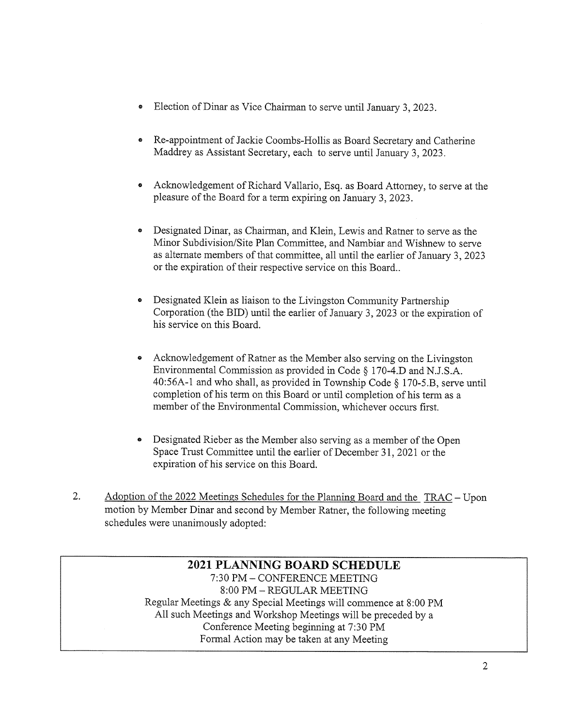- <sup>o</sup> Election of Dinar as Vice Chairman to serve until January 3, 2023.
- <sup>o</sup> Re-appointment of Jackie Coombs-Hollis as Board Secretary and Catherine Maddrey as Assistant Secretary, each to serve until January 3, 2023.
- Acknowledgement of Richard Vallario, Esq. as Board Attorney, to serve at the pleasure of the Board for <sup>a</sup> term expiring on January 3, 2023.
- <sup>o</sup> Designated Dinar, as Chairman, and Klein, Lewis and Rather to serve as the Minor Subdivision/Site Plan Committee, and Nambiar and Wishnew to serve as alternate members of that committee, all until the earlier of January 3, 2023 or the expiration of their respective service on this Board..
- Designated Klein as liaison to the Livingston Community Partnership Corporation (the BID) until the earlier of January 3, 2023 or the expiration of his service on this Board.
- Acknowledgement of Ratner as the Member also serving on the Livingston Environmental Commission as provided in Code § 170-4.D and N.J.S.A. 40:56A-1 and who shall, as provided in Township Code § 170-5.B, serve until completion of his term on this Board or until completion of his term as <sup>a</sup> member of the Environmental Commission, whichever occurs first.
- <sup>o</sup> Designated Rieber as the Member also serving as a member of the Open Space Trust Committee until the earlier of December 31, 2021 or the expiration of his service on this Board.
- 2. Adoption of the 2022 Meetings Schedules for the Planning Board and the TRAC Upon motion by Member Dinar and second by Member Rather, the following meeting schedules were unanimously adopted:

## 2021 PLANNING BOARD SCHEDULE 7:30 PM -CONFERENCE MEETING 8:00 PM -REGULAR MEETING Regular Meetings & any Special Meetings will commence at 8:00 PM All such Meetings and Workshop Meetings will be preceded by <sup>a</sup> Conference Meeting beginning at 7:30 PM Formal Action may be taken at any Meeting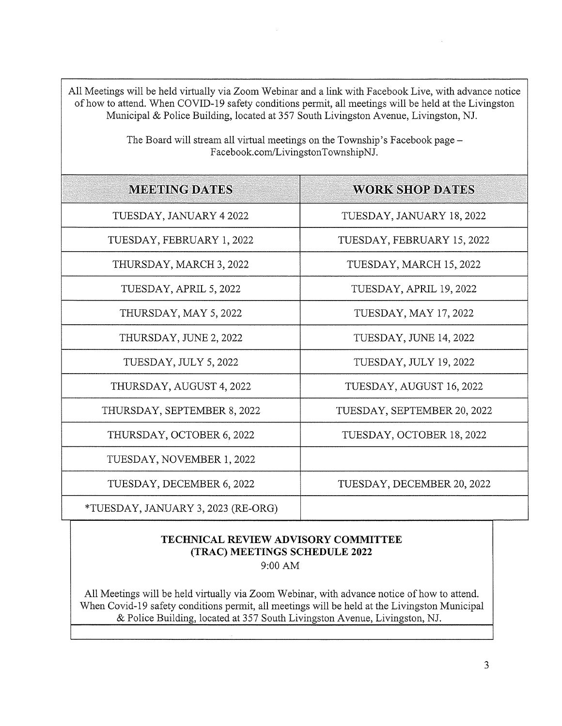All Meetings will be held virtually via Zoom Webinar and <sup>a</sup> link with Facebook Live, with advance notice of how to attend. When COVID-19 safety conditions permit, all meetings will be held at the Livingston Municipal & Police Building, located at 357 South Livingston Avenue, Livingston, NJ.

| <b>MEETING DATES</b>               | <b>WORK SHOP DATES</b>      |  |
|------------------------------------|-----------------------------|--|
| TUESDAY, JANUARY 4 2022            | TUESDAY, JANUARY 18, 2022   |  |
| TUESDAY, FEBRUARY 1, 2022          | TUESDAY, FEBRUARY 15, 2022  |  |
| THURSDAY, MARCH 3, 2022            | TUESDAY, MARCH 15, 2022     |  |
| TUESDAY, APRIL 5, 2022             | TUESDAY, APRIL 19, 2022     |  |
| THURSDAY, MAY 5, 2022              | TUESDAY, MAY 17, 2022       |  |
| THURSDAY, JUNE 2, 2022             | TUESDAY, JUNE 14, 2022      |  |
| TUESDAY, JULY 5, 2022              | TUESDAY, JULY 19, 2022      |  |
| THURSDAY, AUGUST 4, 2022           | TUESDAY, AUGUST 16, 2022    |  |
| THURSDAY, SEPTEMBER 8, 2022        | TUESDAY, SEPTEMBER 20, 2022 |  |
| THURSDAY, OCTOBER 6, 2022          | TUESDAY, OCTOBER 18, 2022   |  |
| TUESDAY, NOVEMBER 1, 2022          |                             |  |
| TUESDAY, DECEMBER 6, 2022          | TUESDAY, DECEMBER 20, 2022  |  |
| *TUESDAY, JANUARY 3, 2023 (RE-ORG) |                             |  |

The Board will stream all virtual meetings on the Township's Facebook page — Facebook.com/LivingstonTownshipNJ.

## TECHNICAL REVIEW ADVISORY COMMITTEE (TRAC) MEETINGS SCHEDULE 2022

9:00AM

All Meetings will be held virtually via Zoom Webinar, with advance notice of how to attend. When Covid-19 safety conditions permit, all meetings will be held at the Livingston Municipal & Police Building, located at 357 South Livingston Avenue, Livingston, NJ.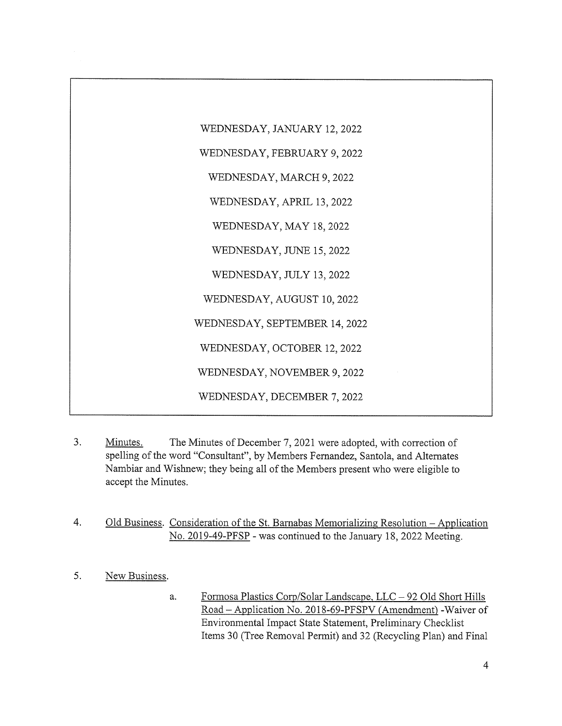

- 3. Minutes. The Minutes of December 7, 2021 were adopted, with correction of spelling of the word "Consultant", by Members Fernandez, Santola, and Alternates Nambiar and Wishnew; they being all of the Members present who were eligible to accept the Minutes.
- 4. Old Business. Consideration of the St. Barnabas Memorializing Resolution Application No. 2019-49-PFSP - was continued to the January 18, 2022 Meeting.
- 5. New Business.
	- a. Fonnosa Plastics Corp/Solar Landscape, LLC —92 Old Short Hills Road – Application No. 2018-69-PFSPV (Amendment) - Waiver of Environmental Impact State Statement, Preliminary Checklist Items 30 (Tree Removal Permit) and 32 (Recycling Plan) and Final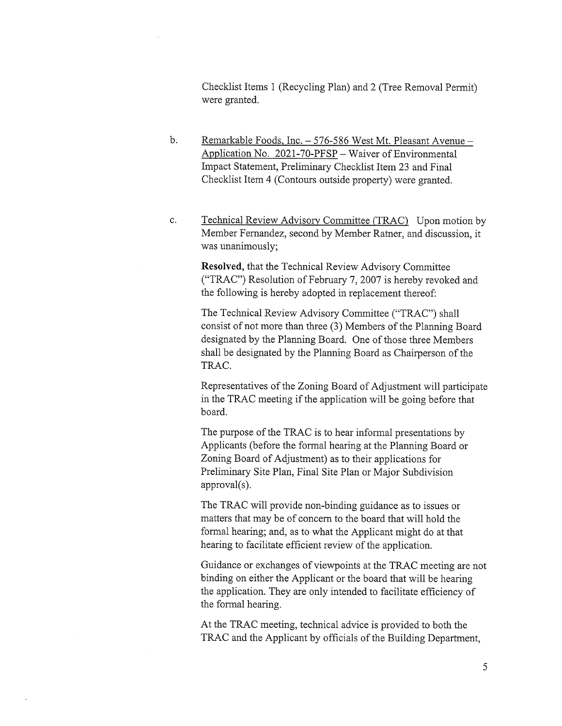Checklist Items <sup>1</sup> (Recycling Plan) and 2 (Tree Removal Permit) were granted.

- b. Remarkable Foods, Inc. 576-586 West Mt. Pleasant Avenue -Application No. 2021-70-PFSP – Waiver of Environmental Impact Statement, Preliminary Checklist Item 23 and Final Checklist Item 4 (Contours outside property) were granted.
- c. Technical Review Advisory Committee (TRAC) Upon motion by Member Fernandez, second by Member Rather, and discussion, it was unanimously;

Resolved, that the Technical Review Advisory Committee ("TRAC") Resolution of February 7, 2007 is hereby revoked and the following is hereby adopted in replacement thereof:

The Technical Review Advisory Committee ("TRAC") shall consist of not more than three (3) Members of the Planning Board designated by the Planning Board. One of those three Members shall be designated by the Planning Board as Chairperson of the TRAC.

Representatives of the Zoning Board of Adjustment will participate in the TRAC meeting if the application will be going before that board.

The purpose of the TRAC is to hear informal presentations by Applicants (before the formal hearing at the Planning Board or Zoning Board of Adjustment) as to their applications for Preliminary Site Plan, Final Site Plan or Major Subdivision approval(s).

The TRAC will provide non-binding guidance as to issues or matters that may be of concern to the board that will hold the formal hearing; and, as to what the Applicant might do at that hearing to facilitate efficient review of the application.

Guidance or exchanges of viewpoints at the TRAC meeting are not binding on either the Applicant or the board that will be hearing the application. They are only intended to facilitate efficiency of the formal hearing.

At the TRAC meeting, technical advice is provided to both the TRAC and the Applicant by officials of the Building Department,